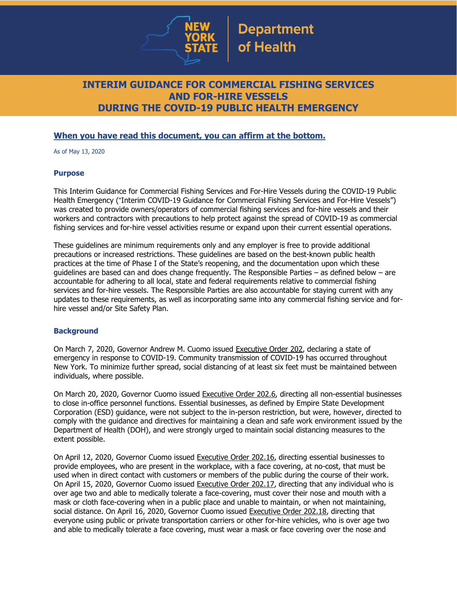

## **INTERIM GUIDANCE FOR COMMERCIAL FISHING SERVICES AND FOR-HIRE VESSELS DURING THE COVID-19 PUBLIC HEALTH EMERGENCY**

## **When you have read this document, you can affirm at the bottom.**

As of May 13, 2020

## **Purpose**

This Interim Guidance for Commercial Fishing Services and For-Hire Vessels during the COVID-19 Public Health Emergency ("Interim COVID-19 Guidance for Commercial Fishing Services and For-Hire Vessels") was created to provide owners/operators of commercial fishing services and for-hire vessels and their workers and contractors with precautions to help protect against the spread of COVID-19 as commercial fishing services and for-hire vessel activities resume or expand upon their current essential operations.

These guidelines are minimum requirements only and any employer is free to provide additional precautions or increased restrictions. These guidelines are based on the best-known public health practices at the time of Phase I of the State's reopening, and the documentation upon which these guidelines are based can and does change frequently. The Responsible Parties – as defined below – are accountable for adhering to all local, state and federal requirements relative to commercial fishing services and for-hire vessels. The Responsible Parties are also accountable for staying current with any updates to these requirements, as well as incorporating same into any commercial fishing service and forhire vessel and/or Site Safety Plan.

## **Background**

On March 7, 2020, Governor Andrew M. Cuomo issued [Executive](https://www.governor.ny.gov/news/no-202-declaring-disaster-emergency-state-new-york) Order 202, declaring a state of emergency in response to COVID-19. Community transmission of COVID-19 has occurred throughout New York. To minimize further spread, social distancing of at least six feet must be maintained between individuals, where possible.

On March 20, 2020, Governor Cuomo issued [Executive](https://www.governor.ny.gov/news/no-2026-continuing-temporary-suspension-and-modification-laws-relating-disaster-emergency) Order 202.6, directing all non-essential businesses to close in-office personnel functions. Essential businesses, as defined by Empire State Development Corporation (ESD) [guidance,](https://esd.ny.gov/guidance-executive-order-2026) were not subject to the in-person restriction, but were, however, directed to comply with the guidance and directives for maintaining a clean and safe work environment issued by the Department of Health (DOH), and were strongly urged to maintain social distancing measures to the extent possible.

On April 12, 2020, Governor Cuomo issued [Executive](https://www.governor.ny.gov/news/no-20216-continuing-temporary-suspension-and-modification-laws-relating-disaster-emergency) Order 202.16, directing essential businesses to provide employees, who are present in the workplace, with a face covering, at no-cost, that must be used when in direct contact with customers or members of the public during the course of their work. On April 15, 2020, Governor Cuomo issued [Executive](https://www.governor.ny.gov/news/no-20217-continuing-temporary-suspension-and-modification-laws-relating-disaster-emergency) Order 202.17, directing that any individual who is over age two and able to medically tolerate a face-covering, must cover their nose and mouth with a mask or cloth face-covering when in a public place and unable to maintain, or when not maintaining, social distance. On April 16, 2020, Governor Cuomo issued [Executive](https://www.governor.ny.gov/news/no-20218-continuing-temporary-suspension-and-modification-laws-relating-disaster-emergency) Order 202.18, directing that everyone using public or private transportation carriers or other for-hire vehicles, who is over age two and able to medically tolerate a face covering, must wear a mask or face covering over the nose and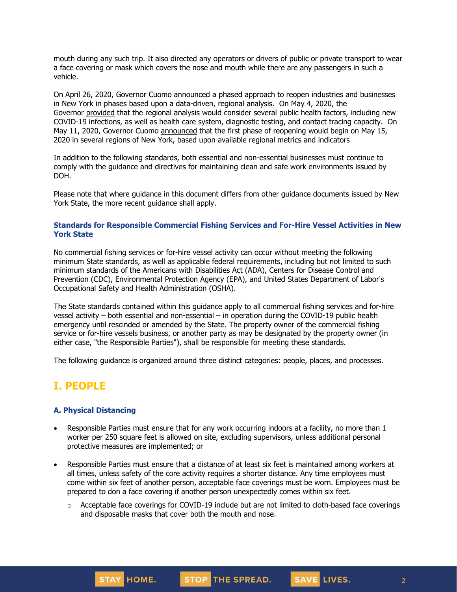mouth during any such trip. It also directed any operators or drivers of public or private transport to wear a face covering or mask which covers the nose and mouth while there are any passengers in such a vehicle.

On April 26, 2020, Governor Cuomo [announced](https://www.governor.ny.gov/news/amid-ongoing-covid-19-pandemic-governor-cuomo-outlines-phased-plan-re-open-new-york-starting) a phased approach to reopen industries and businesses in New York in phases based upon a data-driven, regional analysis. On May 4, 2020, the Governor [provided](https://www.governor.ny.gov/news/amid-ongoing-covid-19-pandemic-governor-cuomo-outlines-additional-guidelines-when-regions-can) that the regional analysis would consider several public health factors, including new COVID-19 infections, as well as health care system, diagnostic testing, and contact tracing capacity. On May 11, 2020, Governor Cuomo [announced](https://www.governor.ny.gov/news/amid-ongoing-covid-19-pandemic-governor-cuomo-announces-three-regions-new-york-state-ready) that the first phase of reopening would begin on May 15, 2020 in several regions of New York, based upon available regional metrics and indicators

In addition to the following standards, both essential and non-essential businesses must continue to comply with the guidance and directives for maintaining clean and safe work environments issued by DOH.

Please note that where guidance in this document differs from other guidance documents issued by New York State, the more recent guidance shall apply.

#### **Standards for Responsible Commercial Fishing Services and For-Hire Vessel Activities in New York State**

No commercial fishing services or for-hire vessel activity can occur without meeting the following minimum State standards, as well as applicable federal requirements, including but not limited to such minimum standards of the Americans with Disabilities Act (ADA), Centers for Disease Control and Prevention (CDC), Environmental Protection Agency (EPA), and United States Department of Labor's Occupational Safety and Health Administration (OSHA).

The State standards contained within this guidance apply to all commercial fishing services and for-hire vessel activity – both essential and non-essential – in operation during the COVID-19 public health emergency until rescinded or amended by the State. The property owner of the commercial fishing service or for-hire vessels business, or another party as may be designated by the property owner (in either case, "the Responsible Parties"), shall be responsible for meeting these standards.

The following guidance is organized around three distinct categories: people, places, and processes.

# **I. PEOPLE**

## **A. Physical Distancing**

STAY HOME.

- Responsible Parties must ensure that for any work occurring indoors at a facility, no more than 1 worker per 250 square feet is allowed on site, excluding supervisors, unless additional personal protective measures are implemented; or
- Responsible Parties must ensure that a distance of at least six feet is maintained among workers at all times, unless safety of the core activity requires a shorter distance. Any time employees must come within six feet of another person, acceptable face coverings must be worn. Employees must be prepared to don a face covering if another person unexpectedly comes within six feet.
	- $\circ$  Acceptable face coverings for COVID-19 include but are not limited to cloth-based face coverings and disposable masks that cover both the mouth and nose.

STOP THE SPREAD.

2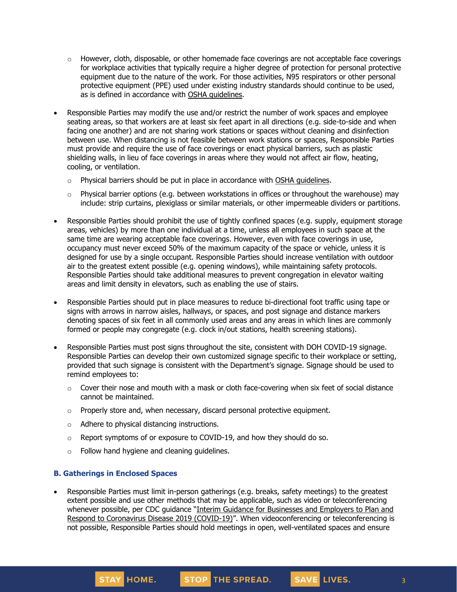- $\circ$  However, cloth, disposable, or other homemade face coverings are not acceptable face coverings for workplace activities that typically require a higher degree of protection for personal protective equipment due to the nature of the work. For those activities, N95 respirators or other personal protective equipment (PPE) used under existing industry standards should continue to be used, as is defined in accordance with OSHA [guidelines.](https://www.osha.gov/SLTC/personalprotectiveequipment/)
- Responsible Parties may modify the use and/or restrict the number of work spaces and employee seating areas, so that workers are at least six feet apart in all directions (e.g. side-to-side and when facing one another) and are not sharing work stations or spaces without cleaning and disinfection between use. When distancing is not feasible between work stations or spaces, Responsible Parties must provide and require the use of face coverings or enact physical barriers, such as plastic shielding walls, in lieu of face coverings in areas where they would not affect air flow, heating, cooling, or ventilation.
	- $\circ$  Physical barriers should be put in place in accordance with OSHA [guidelines.](https://www.osha.gov/Publications/OSHA3990.pdf)
	- o Physical barrier options (e.g. between workstations in offices or throughout the warehouse) may include: strip curtains, plexiglass or similar materials, or other impermeable dividers or partitions.
- Responsible Parties should prohibit the use of tightly confined spaces (e.g. supply, equipment storage areas, vehicles) by more than one individual at a time, unless all employees in such space at the same time are wearing acceptable face coverings. However, even with face coverings in use, occupancy must never exceed 50% of the maximum capacity of the space or vehicle, unless it is designed for use by a single occupant. Responsible Parties should increase ventilation with outdoor air to the greatest extent possible (e.g. opening windows), while maintaining safety protocols. Responsible Parties should take additional measures to prevent congregation in elevator waiting areas and limit density in elevators, such as enabling the use of stairs.
- Responsible Parties should put in place measures to reduce bi-directional foot traffic using tape or signs with arrows in narrow aisles, hallways, or spaces, and post signage and distance markers denoting spaces of six feet in all commonly used areas and any areas in which lines are commonly formed or people may congregate (e.g. clock in/out stations, health screening stations).
- Responsible Parties must post signs throughout the site, consistent with DOH COVID-19 signage. Responsible Parties can develop their own customized signage specific to their workplace or setting, provided that such signage is consistent with the Department's signage. Signage should be used to remind employees to:
	- $\circ$  Cover their nose and mouth with a mask or cloth face-covering when six feet of social distance cannot be maintained.
	- $\circ$  Properly store and, when necessary, discard personal protective equipment.
	- o Adhere to physical distancing instructions.
	- o Report symptoms of or exposure to COVID-19, and how they should do so.
	- o Follow hand hygiene and cleaning guidelines.

## **B. Gatherings in Enclosed Spaces**

STAY HOME.

• Responsible Parties must limit in-person gatherings (e.g. breaks, safety meetings) to the greatest extent possible and use other methods that may be applicable, such as video or teleconferencing whenever possible, per CDC guidance "Interim Guidance for [Businesses](https://www.cdc.gov/coronavirus/2019-ncov/community/guidance-business-response.html) and Employers to Plan and Respond to [Coronavirus](https://www.cdc.gov/coronavirus/2019-ncov/community/guidance-business-response.html) Disease 2019 (COVID-19)". When videoconferencing or teleconferencing is not possible, Responsible Parties should hold meetings in open, well-ventilated spaces and ensure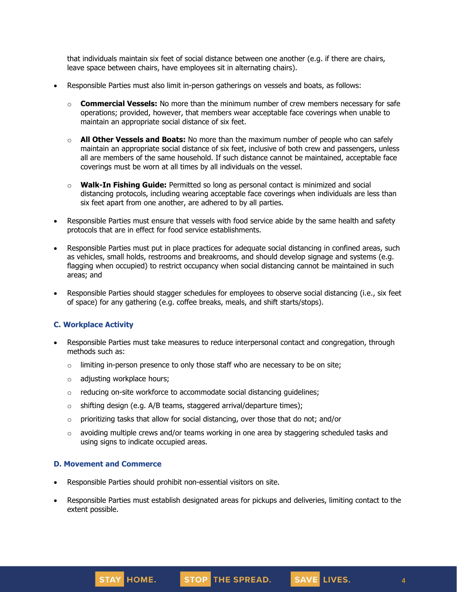that individuals maintain six feet of social distance between one another (e.g. if there are chairs, leave space between chairs, have employees sit in alternating chairs).

- Responsible Parties must also limit in-person gatherings on vessels and boats, as follows:
	- o **Commercial Vessels:** No more than the minimum number of crew members necessary for safe operations; provided, however, that members wear acceptable face coverings when unable to maintain an appropriate social distance of six feet.
	- o **All Other Vessels and Boats:** No more than the maximum number of people who can safely maintain an appropriate social distance of six feet, inclusive of both crew and passengers, unless all are members of the same household. If such distance cannot be maintained, acceptable face coverings must be worn at all times by all individuals on the vessel.
	- o **Walk-In Fishing Guide:** Permitted so long as personal contact is minimized and social distancing protocols, including wearing acceptable face coverings when individuals are less than six feet apart from one another, are adhered to by all parties.
- Responsible Parties must ensure that vessels with food service abide by the same health and safety protocols that are in effect for food service establishments.
- Responsible Parties must put in place practices for adequate social distancing in confined areas, such as vehicles, small holds, restrooms and breakrooms, and should develop signage and systems (e.g. flagging when occupied) to restrict occupancy when social distancing cannot be maintained in such areas; and
- Responsible Parties should stagger schedules for employees to observe social distancing (i.e., six feet of space) for any gathering (e.g. coffee breaks, meals, and shift starts/stops).

## **C. Workplace Activity**

- Responsible Parties must take measures to reduce interpersonal contact and congregation, through methods such as:
	- $\circ$  limiting in-person presence to only those staff who are necessary to be on site;
	- o adjusting workplace hours;
	- o reducing on-site workforce to accommodate social distancing guidelines;
	- $\circ$  shifting design (e.g. A/B teams, staggered arrival/departure times);
	- o prioritizing tasks that allow for social distancing, over those that do not; and/or
	- $\circ$  avoiding multiple crews and/or teams working in one area by staggering scheduled tasks and using signs to indicate occupied areas.

#### **D. Movement and Commerce**

- Responsible Parties should prohibit non-essential visitors on site.
- Responsible Parties must establish designated areas for pickups and deliveries, limiting contact to the extent possible.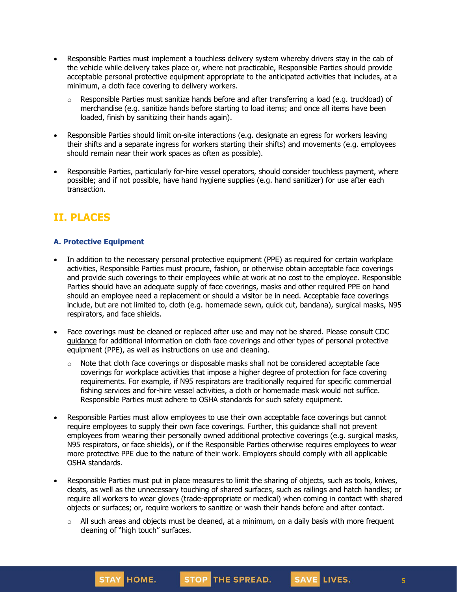- Responsible Parties must implement a touchless delivery system whereby drivers stay in the cab of the vehicle while delivery takes place or, where not practicable, Responsible Parties should provide acceptable personal protective equipment appropriate to the anticipated activities that includes, at a minimum, a cloth face covering to delivery workers.
	- $\circ$  Responsible Parties must sanitize hands before and after transferring a load (e.g. truckload) of merchandise (e.g. sanitize hands before starting to load items; and once all items have been loaded, finish by sanitizing their hands again).
- Responsible Parties should limit on-site interactions (e.g. designate an egress for workers leaving their shifts and a separate ingress for workers starting their shifts) and movements (e.g. employees should remain near their work spaces as often as possible).
- Responsible Parties, particularly for-hire vessel operators, should consider touchless payment, where possible; and if not possible, have hand hygiene supplies (e.g. hand sanitizer) for use after each transaction.

# **II. PLACES**

## **A. Protective Equipment**

- In addition to the necessary personal protective equipment (PPE) as required for certain workplace activities, Responsible Parties must procure, fashion, or otherwise obtain acceptable face coverings and provide such coverings to their employees while at work at no cost to the employee. Responsible Parties should have an adequate supply of face coverings, masks and other required PPE on hand should an employee need a replacement or should a visitor be in need. Acceptable face coverings include, but are not limited to, cloth (e.g. homemade sewn, quick cut, bandana), surgical masks, N95 respirators, and face shields.
- Face coverings must be cleaned or replaced after use and may not be shared. Please consult CDC [guidance](https://www.cdc.gov/coronavirus/2019-ncov/community/guidance-business-response.html) for additional information on cloth face coverings and other types of personal protective equipment (PPE), as well as instructions on use and cleaning.
	- $\circ$  Note that cloth face coverings or disposable masks shall not be considered acceptable face coverings for workplace activities that impose a higher degree of protection for face covering requirements. For example, if N95 respirators are traditionally required for specific commercial fishing services and for-hire vessel activities, a cloth or homemade mask would not suffice. Responsible Parties must adhere to OSHA standards for such safety equipment.
- Responsible Parties must allow employees to use their own acceptable face coverings but cannot require employees to supply their own face coverings. Further, this guidance shall not prevent employees from wearing their personally owned additional protective coverings (e.g. surgical masks, N95 respirators, or face shields), or if the Responsible Parties otherwise requires employees to wear more protective PPE due to the nature of their work. Employers should comply with all applicable OSHA standards.
- Responsible Parties must put in place measures to limit the sharing of objects, such as tools, knives, cleats, as well as the unnecessary touching of shared surfaces, such as railings and hatch handles; or require all workers to wear gloves (trade-appropriate or medical) when coming in contact with shared objects or surfaces; or, require workers to sanitize or wash their hands before and after contact.
	- $\circ$  All such areas and objects must be cleaned, at a minimum, on a daily basis with more frequent cleaning of "high touch" surfaces.

5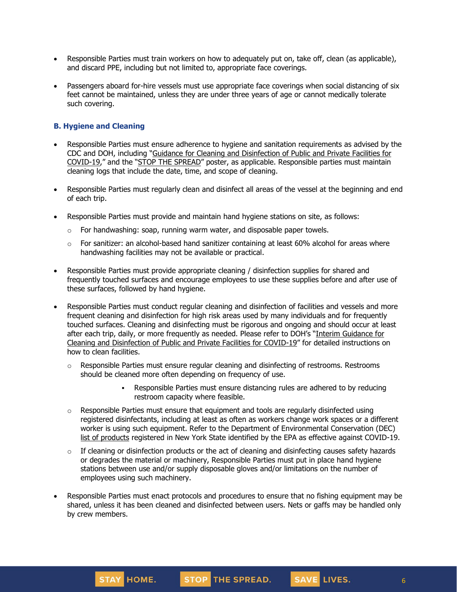- Responsible Parties must train workers on how to adequately put on, take off, clean (as applicable), and discard PPE, including but not limited to, appropriate face coverings.
- Passengers aboard for-hire vessels must use appropriate face coverings when social distancing of six feet cannot be maintained, unless they are under three years of age or cannot medically tolerate such covering.

## **B. Hygiene and Cleaning**

- Responsible Parties must ensure adherence to hygiene and sanitation requirements as advised by the CDC and DOH, including "Guidance for Cleaning and [Disinfection](https://coronavirus.health.ny.gov/system/files/documents/2020/03/cleaning_guidance_general_building.pdf) of Public and Private Facilities for [COVID-19](https://coronavirus.health.ny.gov/system/files/documents/2020/03/cleaning_guidance_general_building.pdf)," and the "STOP THE [SPREAD](https://coronavirus.health.ny.gov/system/files/documents/2020/04/13067_coronavirus_protectyourself_poster_042020.pdf)" poster, as applicable. Responsible parties must maintain cleaning logs that include the date, time, and scope of cleaning.
- Responsible Parties must regularly clean and disinfect all areas of the vessel at the beginning and end of each trip.
- Responsible Parties must provide and maintain hand hygiene stations on site, as follows:
	- $\circ$  For handwashing: soap, running warm water, and disposable paper towels.
	- $\circ$  For sanitizer: an alcohol-based hand sanitizer containing at least 60% alcohol for areas where handwashing facilities may not be available or practical.
- Responsible Parties must provide appropriate cleaning / disinfection supplies for shared and frequently touched surfaces and encourage employees to use these supplies before and after use of these surfaces, followed by hand hygiene.
- Responsible Parties must conduct regular cleaning and disinfection of facilities and vessels and more frequent cleaning and disinfection for high risk areas used by many individuals and for frequently touched surfaces. Cleaning and disinfecting must be rigorous and ongoing and should occur at least after each trip, daily, or more frequently as needed. Please refer to DOH's "Interim [Guidance](https://coronavirus.health.ny.gov/system/files/documents/2020/03/cleaning_guidance_general_building.pdf) for Cleaning and [Disinfection](https://coronavirus.health.ny.gov/system/files/documents/2020/03/cleaning_guidance_general_building.pdf) of Public and Private Facilities for COVID-19" for detailed instructions on how to clean facilities.
	- $\circ$  Responsible Parties must ensure regular cleaning and disinfecting of restrooms. Restrooms should be cleaned more often depending on frequency of use.
		- Responsible Parties must ensure distancing rules are adhered to by reducing restroom capacity where feasible.
	- $\circ$  Responsible Parties must ensure that equipment and tools are regularly disinfected using registered disinfectants, including at least as often as workers change work spaces or a different worker is using such equipment. Refer to the Department of Environmental Conservation (DEC) list of [products](http://www.dec.ny.gov/docs/materials_minerals_pdf/covid19.pdf) registered in New York State identified by the EPA as effective against COVID-19.
	- $\circ$  If cleaning or disinfection products or the act of cleaning and disinfecting causes safety hazards or degrades the material or machinery, Responsible Parties must put in place hand hygiene stations between use and/or supply disposable gloves and/or limitations on the number of employees using such machinery.
- Responsible Parties must enact protocols and procedures to ensure that no fishing equipment may be shared, unless it has been cleaned and disinfected between users. Nets or gaffs may be handled only by crew members.





SAVE LIVES.

6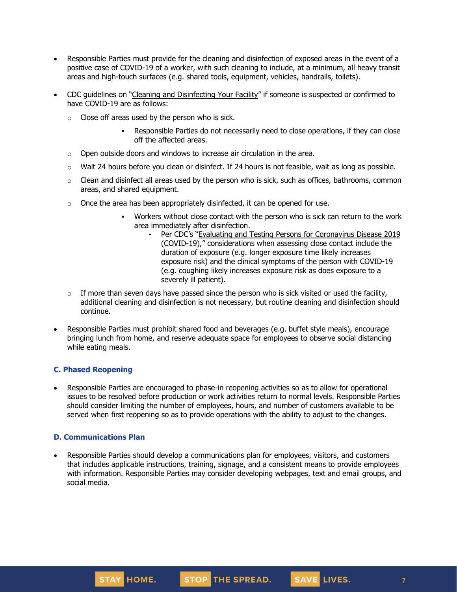- Responsible Parties must provide for the cleaning and disinfection of exposed areas in the event of a positive case of COVID-19 of a worker, with such cleaning to include, at a minimum, all heavy transit areas and high-touch surfaces (e.g. shared tools, equipment, vehicles, handrails, toilets).
- CDC guidelines on "Cleaning and [Disinfecting](https://www.cdc.gov/coronavirus/2019-ncov/community/disinfecting-building-facility.html) Your Facility" if someone is suspected or confirmed to have COVID-19 are as follows:
	- $\circ$  Close off areas used by the person who is sick.
		- Responsible Parties do not necessarily need to close operations, if they can close off the affected areas.
	- $\circ$  Open outside doors and windows to increase air circulation in the area.
	- $\circ$  Wait 24 hours before you clean or disinfect. If 24 hours is not feasible, wait as long as possible.
	- $\circ$  Clean and disinfect all areas used by the person who is sick, such as offices, bathrooms, common areas, and shared equipment.
	- $\circ$  Once the area has been appropriately disinfected, it can be opened for use.
		- Workers without close contact with the person who is sick can return to the work area immediately after disinfection.
			- Per CDC's "Evaluating and Testing Persons for [Coronavirus](https://www.cdc.gov/coronavirus/2019-ncov/hcp/clinical-criteria.html) Disease 2019 [\(COVID-19\)](https://www.cdc.gov/coronavirus/2019-ncov/hcp/clinical-criteria.html)," considerations when assessing close contact include the duration of exposure (e.g. longer exposure time likely increases exposure risk) and the clinical symptoms of the person with COVID-19 (e.g. coughing likely increases exposure risk as does exposure to a severely ill patient).
	- $\circ$  If more than seven days have passed since the person who is sick visited or used the facility, additional cleaning and disinfection is not necessary, but routine cleaning and disinfection should continue.
- Responsible Parties must prohibit shared food and beverages (e.g. buffet style meals), encourage bringing lunch from home, and reserve adequate space for employees to observe social distancing while eating meals.

## **C. Phased Reopening**

• Responsible Parties are encouraged to phase-in reopening activities so as to allow for operational issues to be resolved before production or work activities return to normal levels. Responsible Parties should consider limiting the number of employees, hours, and number of customers available to be served when first reopening so as to provide operations with the ability to adjust to the changes.

## **D. Communications Plan**

• Responsible Parties should develop a communications plan for employees, visitors, and customers that includes applicable instructions, training, signage, and a consistent means to provide employees with information. Responsible Parties may consider developing webpages, text and email groups, and social media.

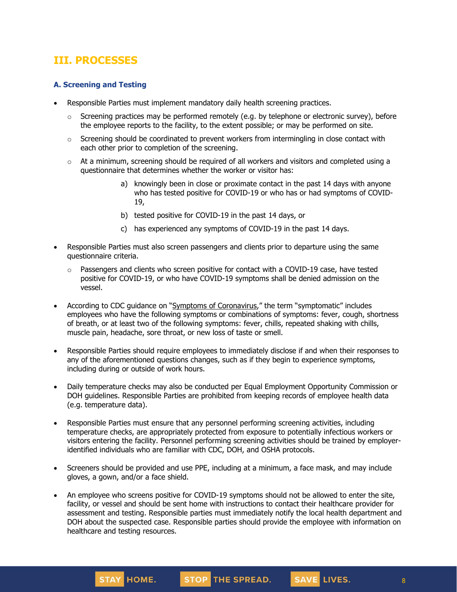# **III. PROCESSES**

## **A. Screening and Testing**

- Responsible Parties must implement mandatory daily health screening practices.
	- $\circ$  Screening practices may be performed remotely (e.g. by telephone or electronic survey), before the employee reports to the facility, to the extent possible; or may be performed on site.
	- $\circ$  Screening should be coordinated to prevent workers from intermingling in close contact with each other prior to completion of the screening.
	- $\circ$  At a minimum, screening should be required of all workers and visitors and completed using a questionnaire that determines whether the worker or visitor has:
		- a) knowingly been in close or proximate contact in the past 14 days with anyone who has tested positive for COVID-19 or who has or had symptoms of COVID-19,
		- b) tested positive for COVID-19 in the past 14 days, or
		- c) has experienced any symptoms of COVID-19 in the past 14 days.
- Responsible Parties must also screen passengers and clients prior to departure using the same questionnaire criteria.
	- $\circ$  Passengers and clients who screen positive for contact with a COVID-19 case, have tested positive for COVID-19, or who have COVID-19 symptoms shall be denied admission on the vessel.
- According to CDC guidance on "Symptoms of [Coronavirus](https://www.cdc.gov/coronavirus/2019-ncov/symptoms-testing/symptoms.html)," the term "symptomatic" includes employees who have the following symptoms or combinations of symptoms: fever, cough, shortness of breath, or at least two of the following symptoms: fever, chills, repeated shaking with chills, muscle pain, headache, sore throat, or new loss of taste or smell.
- Responsible Parties should require employees to immediately disclose if and when their responses to any of the aforementioned questions changes, such as if they begin to experience symptoms, including during or outside of work hours.
- Daily temperature checks may also be conducted per Equal Employment Opportunity Commission or DOH guidelines. Responsible Parties are prohibited from keeping records of employee health data (e.g. temperature data).
- Responsible Parties must ensure that any personnel performing screening activities, including temperature checks, are appropriately protected from exposure to potentially infectious workers or visitors entering the facility. Personnel performing screening activities should be trained by employeridentified individuals who are familiar with CDC, DOH, and OSHA protocols.
- Screeners should be provided and use PPE, including at a minimum, a face mask, and may include gloves, a gown, and/or a face shield.
- An employee who screens positive for COVID-19 symptoms should not be allowed to enter the site, facility, or vessel and should be sent home with instructions to contact their healthcare provider for assessment and testing. Responsible parties must immediately notify the local health department and DOH about the suspected case. Responsible parties should provide the employee with information on healthcare and testing resources.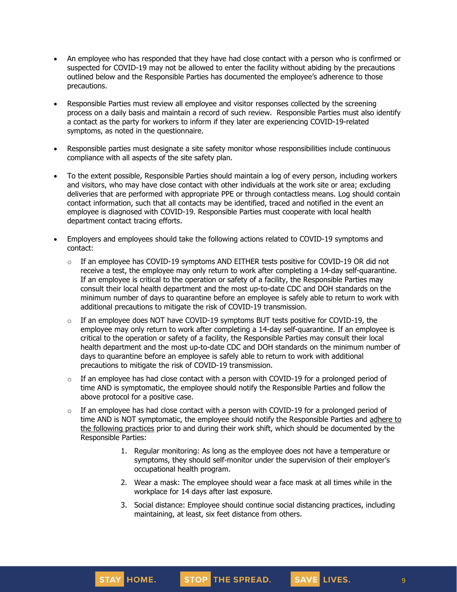- An employee who has responded that they have had close contact with a person who is confirmed or suspected for COVID-19 may not be allowed to enter the facility without abiding by the precautions outlined below and the Responsible Parties has documented the employee's adherence to those precautions.
- Responsible Parties must review all employee and visitor responses collected by the screening process on a daily basis and maintain a record of such review. Responsible Parties must also identify a contact as the party for workers to inform if they later are experiencing COVID-19-related symptoms, as noted in the questionnaire.
- Responsible parties must designate a site safety monitor whose responsibilities include continuous compliance with all aspects of the site safety plan.
- To the extent possible, Responsible Parties should maintain a log of every person, including workers and visitors, who may have close contact with other individuals at the work site or area; excluding deliveries that are performed with appropriate PPE or through contactless means. Log should contain contact information, such that all contacts may be identified, traced and notified in the event an employee is diagnosed with COVID-19. Responsible Parties must cooperate with local health department contact tracing efforts.
- Employers and employees should take the following actions related to COVID-19 symptoms and contact:
	- $\circ$  If an employee has COVID-19 symptoms AND EITHER tests positive for COVID-19 OR did not receive a test, the employee may only [return](https://www.cdc.gov/coronavirus/2019-ncov/hcp/return-to-work.html) to work after completing a 14-day self-quarantine. If an employee is critical to the operation or safety of a facility, the Responsible Parties may consult their local health department and the most up-to-date CDC and DOH standards on the minimum number of days to quarantine before an employee is safely able to return to work with additional precautions to mitigate the risk of COVID-19 transmission.
	- o If an employee does NOT have COVID-19 symptoms BUT tests positive for COVID-19, the employee may only return to work after completing a 14-day self-quarantine. If an employee is critical to the operation or safety of a facility, the Responsible Parties may consult their local health department and the most up-to-date CDC and DOH standards on the minimum number of days to quarantine before an employee is safely able to return to work with additional precautions to mitigate the risk of COVID-19 transmission.
	- $\circ$  If an employee has had close contact with a person with COVID-19 for a prolonged period of time AND is symptomatic, the employee should notify the Responsible Parties and follow the above protocol for a positive case.
	- $\circ$  If an employee has had close contact with a person with COVID-19 for a prolonged period of time AND is NOT symptomatic, the employee should notify the Responsible Parties and [adhere](https://www.cdc.gov/coronavirus/2019-ncov/community/critical-workers/implementing-safety-practices.html) to the [following](https://www.cdc.gov/coronavirus/2019-ncov/community/critical-workers/implementing-safety-practices.html) practices prior to and during their work shift, which should be documented by the Responsible Parties:
		- 1. Regular monitoring: As long as the employee does not have a temperature or symptoms, they should self-monitor under the supervision of their employer's occupational health program.
		- 2. Wear a mask: The employee should wear a face mask at all times while in the workplace for 14 days after last exposure.
		- 3. Social distance: Employee should continue social distancing practices, including maintaining, at least, six feet distance from others.